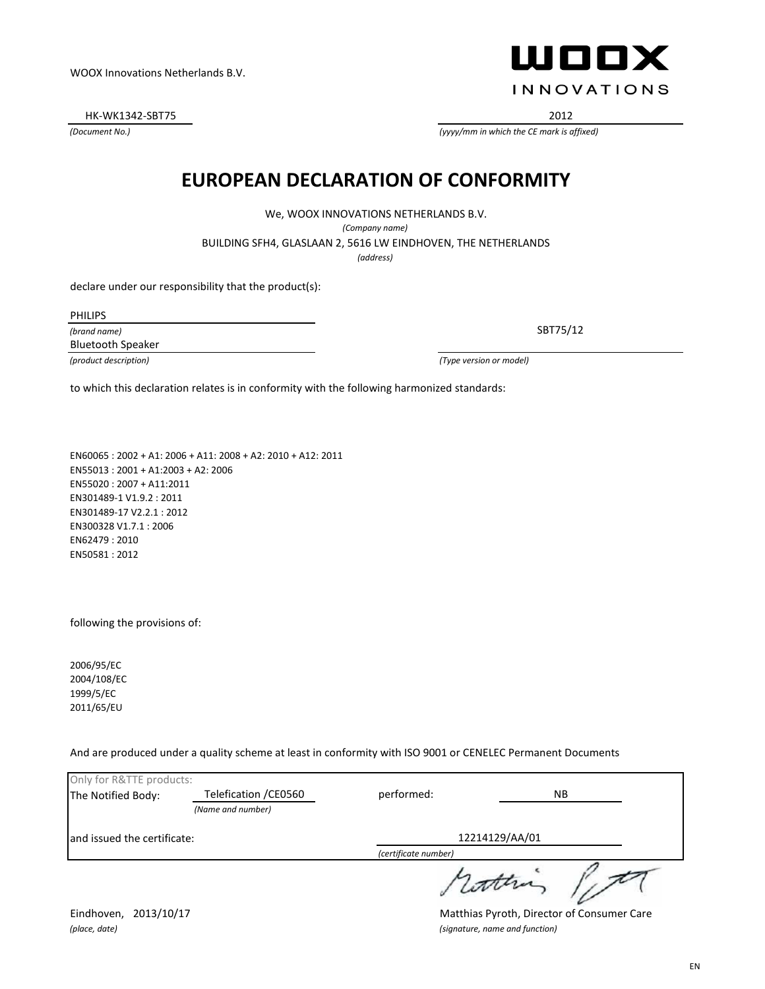*(place, date) (signature, name and function)*

Eindhoven, 2013/10/17 **Matthias Pyroth, Director of Consumer Care** 

WOOX Innovations Netherlands B.V.

HK-WK1342-SBT75 2012

*(Document No.)*

#### **EUROPEAN DECLARATION OF CONFORMITY**

We, WOOX INNOVATIONS NETHERLANDS B.V.

*(Company name)*

BUILDING SFH4, GLASLAAN 2, 5616 LW EINDHOVEN, THE NETHERLANDS

*(address)*

declare under our responsibility that the product(s):

*(brand name)* PHILIPS Bluetooth Speaker

*(product description) (Type version or model)*

to which this declaration relates is in conformity with the following harmonized standards:

EN60065 : 2002 + A1: 2006 + A11: 2008 + A2: 2010 + A12: 2011 EN55013 : 2001 + A1:2003 + A2: 2006 EN55020 : 2007 + A11:2011 EN301489-1 V1.9.2 : 2011 EN301489-17 V2.2.1 : 2012 EN300328 V1.7.1 : 2006 EN62479 : 2010 EN50581 : 2012

following the provisions of:

2006/95/EC 2004/108/EC 1999/5/EC 2011/65/EU

And are produced under a quality scheme at least in conformity with ISO 9001 or CENELEC Permanent Documents

| Only for R&TTE products:    |                       |                      |     |  |
|-----------------------------|-----------------------|----------------------|-----|--|
| The Notified Body:          | Telefication / CE0560 | performed:           | NB. |  |
|                             | (Name and number)     |                      |     |  |
| and issued the certificate: |                       | 12214129/AA/01       |     |  |
|                             |                       | (certificate number) |     |  |
|                             |                       |                      |     |  |

WOOX **INNOVATIONS** 

SBT75/12

*(yyyy/mm in which the CE mark is affixed)*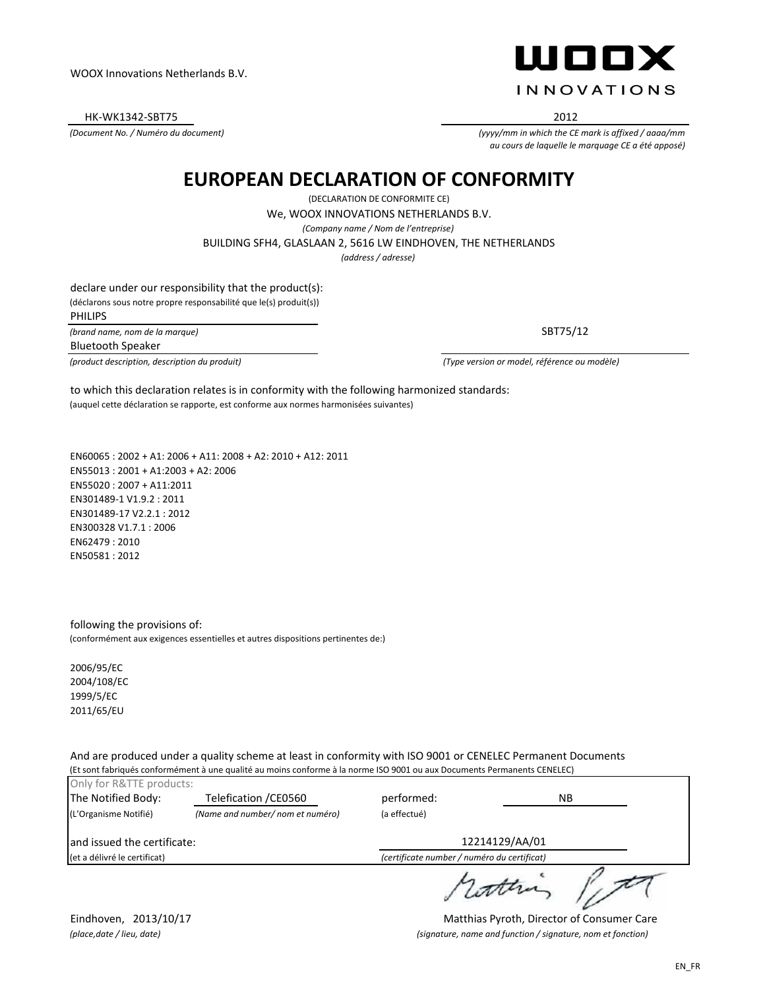HK-WK1342-SBT75 2012

*(Document No. / Numéro du document)*

ШООХ **INNOVATIONS** 

*(yyyy/mm in which the CE mark is affixed / aaaa/mm au cours de laquelle le marquage CE a été apposé)*

### **EUROPEAN DECLARATION OF CONFORMITY**

(DECLARATION DE CONFORMITE CE) BUILDING SFH4, GLASLAAN 2, 5616 LW EINDHOVEN, THE NETHERLANDS We, WOOX INNOVATIONS NETHERLANDS B.V. *(Company name / Nom de l'entreprise)*

*(address / adresse)*

declare under our responsibility that the product(s): (déclarons sous notre propre responsabilité que le(s) produit(s)) PHILIPS

*(brand name, nom de la marque)*

Bluetooth Speaker

*(product description, description du produit) (Type version or model, référence ou modèle)*

SBT75/12

(auquel cette déclaration se rapporte, est conforme aux normes harmonisées suivantes) to which this declaration relates is in conformity with the following harmonized standards:

EN60065 : 2002 + A1: 2006 + A11: 2008 + A2: 2010 + A12: 2011 EN55013 : 2001 + A1:2003 + A2: 2006 EN55020 : 2007 + A11:2011 EN301489-1 V1.9.2 : 2011 EN301489-17 V2.2.1 : 2012 EN300328 V1.7.1 : 2006 EN62479 : 2010 EN50581 : 2012

following the provisions of: (conformément aux exigences essentielles et autres dispositions pertinentes de:)

2006/95/EC 2004/108/EC 1999/5/EC 2011/65/EU

And are produced under a quality scheme at least in conformity with ISO 9001 or CENELEC Permanent Documents (Et sont fabriqués conformément à une qualité au moins conforme à la norme ISO 9001 ou aux Documents Permanents CENELEC)

| Only for R&TTE products:     |                                 |                                             |                |    |  |
|------------------------------|---------------------------------|---------------------------------------------|----------------|----|--|
| The Notified Body:           | Telefication / CE0560           | performed:                                  |                | ΝB |  |
| (L'Organisme Notifié)        | (Name and number/nom et numéro) | (a effectué)                                |                |    |  |
| and issued the certificate:  |                                 |                                             | 12214129/AA/01 |    |  |
| (et a délivré le certificat) |                                 | (certificate number / numéro du certificat) |                |    |  |
|                              |                                 |                                             |                |    |  |

Eindhoven, 2013/10/17 **Matthias Pyroth, Director of Consumer Care** *(place,date / lieu, date) (signature, name and function / signature, nom et fonction)*

rothing light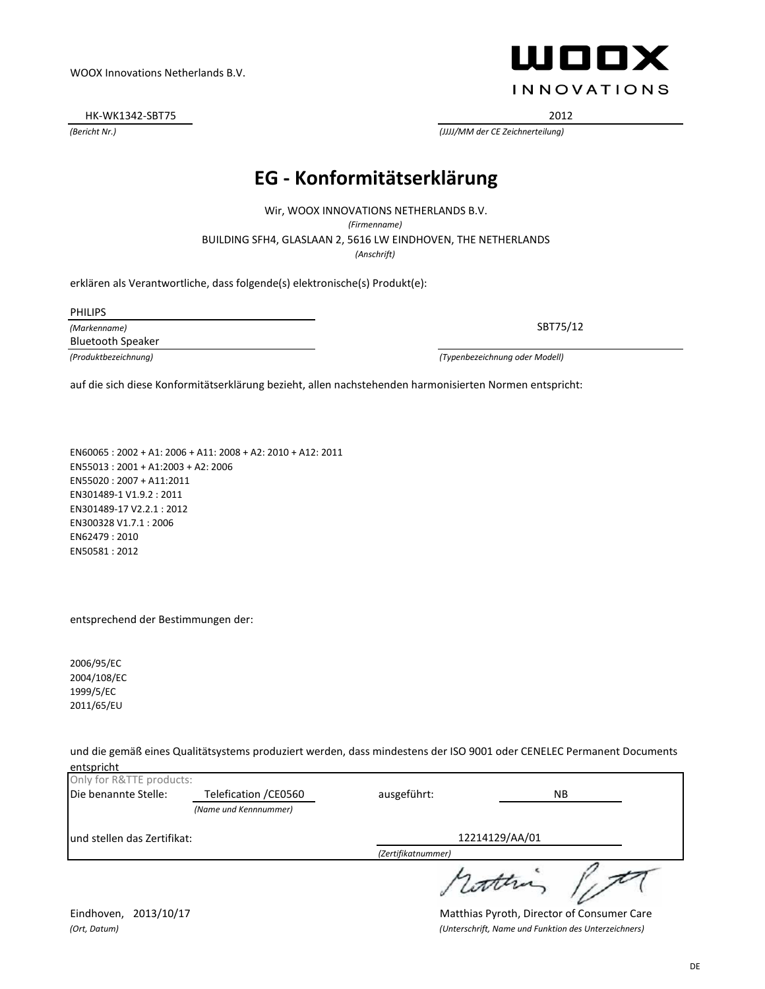*(Ort, Datum) (Unterschrift, Name und Funktion des Unterzeichners)*

#### WOOX Innovations Netherlands B.V.

HK-WK1342-SBT75 2012

*(Bericht Nr.) (JJJJ/MM der CE Zeichnerteilung)*

### **EG - Konformitätserklärung**

*(Anschrift)* BUILDING SFH4, GLASLAAN 2, 5616 LW EINDHOVEN, THE NETHERLANDS Wir, WOOX INNOVATIONS NETHERLANDS B.V. *(Firmenname)*

erklären als Verantwortliche, dass folgende(s) elektronische(s) Produkt(e):

PHILIPS

*(Markenname)* Bluetooth Speaker

*(Produktbezeichnung) (Typenbezeichnung oder Modell)*

auf die sich diese Konformitätserklärung bezieht, allen nachstehenden harmonisierten Normen entspricht:

EN60065 : 2002 + A1: 2006 + A11: 2008 + A2: 2010 + A12: 2011 EN55013 : 2001 + A1:2003 + A2: 2006 EN55020 : 2007 + A11:2011 EN301489-1 V1.9.2 : 2011 EN301489-17 V2.2.1 : 2012 EN300328 V1.7.1 : 2006 EN62479 : 2010 EN50581 : 2012

entsprechend der Bestimmungen der:

2006/95/EC 2004/108/EC 1999/5/EC 2011/65/EU

und die gemäß eines Qualitätsystems produziert werden, dass mindestens der ISO 9001 oder CENELEC Permanent Documents entspricht

| Only for R&TTE products:     |                       |                    |     |  |
|------------------------------|-----------------------|--------------------|-----|--|
| Die benannte Stelle:         | Telefication / CE0560 | ausgeführt:        | NB. |  |
|                              | (Name und Kennnummer) |                    |     |  |
| lund stellen das Zertifikat: |                       | 12214129/AA/01     |     |  |
|                              |                       | (Zertifikatnummer) |     |  |
|                              |                       |                    |     |  |

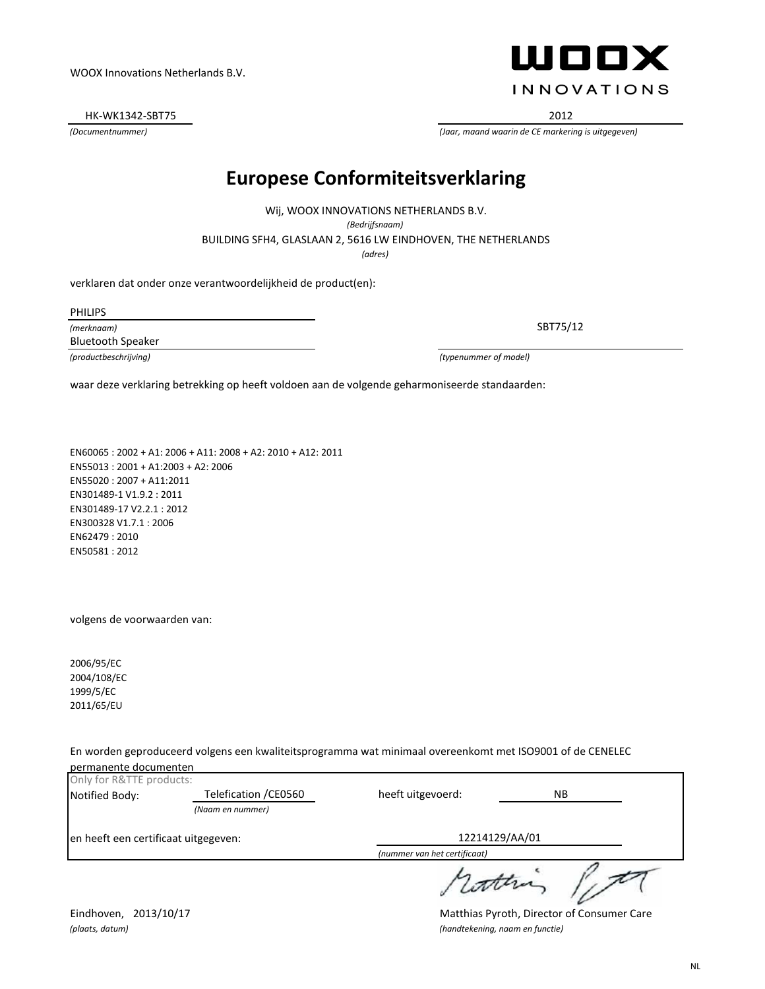HK-WK1342-SBT75 2012

### **Europese Conformiteitsverklaring**

BUILDING SFH4, GLASLAAN 2, 5616 LW EINDHOVEN, THE NETHERLANDS Wij, WOOX INNOVATIONS NETHERLANDS B.V. *(Bedrijfsnaam) (adres)*

verklaren dat onder onze verantwoordelijkheid de product(en):

PHILIPS

*(merknaam)* Bluetooth Speaker

*(productbeschrijving) (typenummer of model)*

waar deze verklaring betrekking op heeft voldoen aan de volgende geharmoniseerde standaarden:

EN60065 : 2002 + A1: 2006 + A11: 2008 + A2: 2010 + A12: 2011 EN55013 : 2001 + A1:2003 + A2: 2006 EN55020 : 2007 + A11:2011 EN301489-1 V1.9.2 : 2011 EN301489-17 V2.2.1 : 2012 EN300328 V1.7.1 : 2006 EN62479 : 2010 EN50581 : 2012

volgens de voorwaarden van:

2006/95/EC 2004/108/EC 1999/5/EC 2011/65/EU

En worden geproduceerd volgens een kwaliteitsprogramma wat minimaal overeenkomt met ISO9001 of de CENELEC

*(plaats, datum) (handtekening, naam en functie)*

| permanente documenten                |                       |                              |     |
|--------------------------------------|-----------------------|------------------------------|-----|
| Only for R&TTE products:             |                       |                              |     |
| Notified Body:                       | Telefication / CE0560 | heeft uitgevoerd:            | NB. |
|                                      | (Naam en nummer)      |                              |     |
| en heeft een certificaat uitgegeven: |                       | 12214129/AA/01               |     |
|                                      |                       | (nummer van het certificaat) |     |
|                                      |                       |                              |     |



SBT75/12

*(Documentnummer) (Jaar, maand waarin de CE markering is uitgegeven)*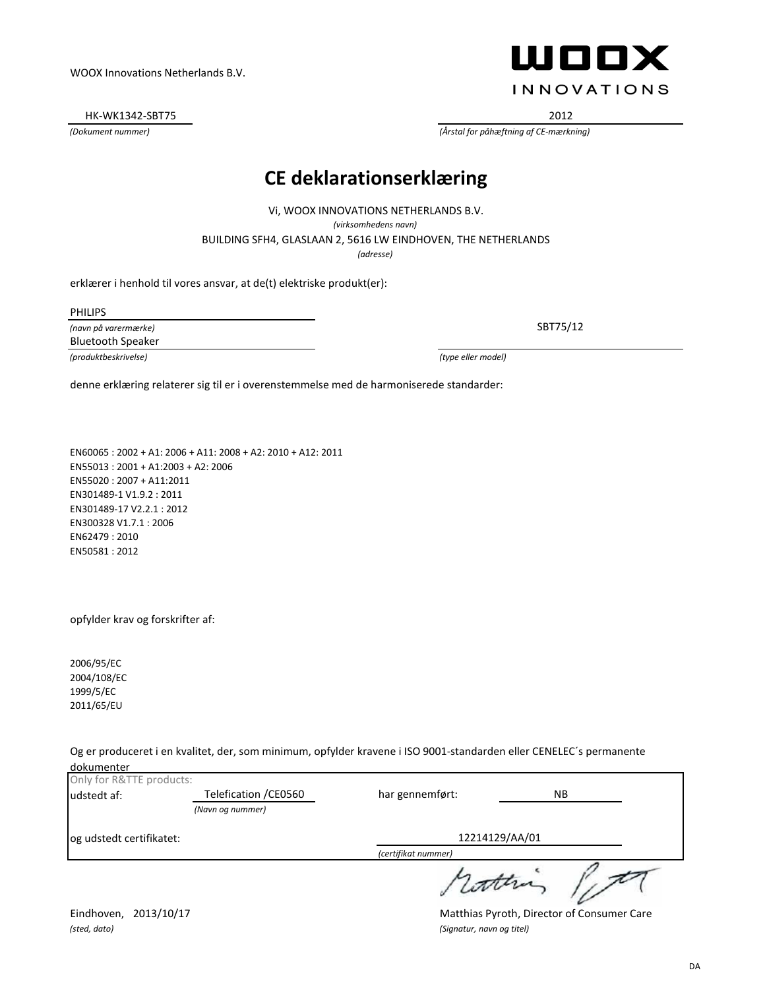opfylder krav og forskrifter af:

2006/95/EC 2004/108/EC 1999/5/EC 2011/65/EU

Og er produceret i en kvalitet, der, som minimum, opfylder kravene i ISO 9001-standarden eller CENELEC´s permanente dokumenter

| Only for R&TTE products: |                       |                     |     |
|--------------------------|-----------------------|---------------------|-----|
| udstedt af:              | Telefication / CE0560 | har gennemført:     | NB. |
|                          | (Navn og nummer)      |                     |     |
| og udstedt certifikatet: |                       | 12214129/AA/01      |     |
|                          |                       | (certifikat nummer) |     |
|                          |                       |                     |     |

*(sted, dato) (Signatur, navn og titel)*

Eindhoven, 2013/10/17 Matthias Pyroth, Director of Consumer Care

**CE deklarationserklæ ring**

*(adresse)* BUILDING SFH4, GLASLAAN 2, 5616 LW EINDHOVEN, THE NETHERLANDS Vi, WOOX INNOVATIONS NETHERLANDS B.V. *(virksomhedens navn)*

erklærer i henhold til vores ansvar, at de(t) elektriske produkt(er):

EN60065 : 2002 + A1: 2006 + A11: 2008 + A2: 2010 + A12: 2011

PHILIPS

*(navn på varermæ rke) (produktbeskrivelse) (type eller model)* Bluetooth Speaker

EN55013 : 2001 + A1:2003 + A2: 2006

EN55020 : 2007 + A11:2011 EN301489-1 V1.9.2 : 2011 EN301489-17 V2.2.1 : 2012 EN300328 V1.7.1 : 2006 EN62479 : 2010 EN50581 : 2012

denne erklæring relaterer sig til er i overenstemmelse med de harmoniserede standarder:

WOOX Innovations Netherlands B.V.

HK-WK1342-SBT75 2012

# ШООХ **INNOVATIONS**

SBT75/12

*(Dokument nummer) (Årstal for påhæ ftning af CE-mæ rkning)*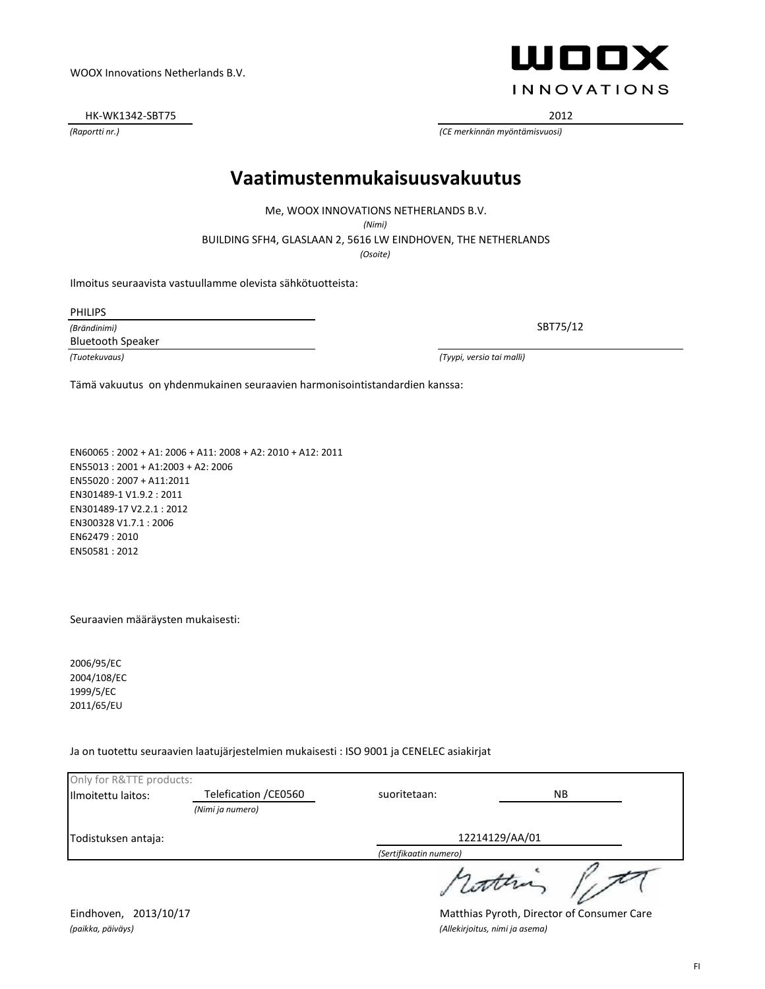*(paikka, päiväys) (Allekirjoitus, nimi ja asema)*

Eindhoven, 2013/10/17 Matthias Pyroth, Director of Consumer Care

FI

*(Raportti nr.) (CE merkinnän myöntämisvuosi)*

HK-WK1342-SBT75 2012

WOOX Innovations Netherlands B.V.

### **Vaatimustenmukaisuusvakuutus**

Me, WOOX INNOVATIONS NETHERLANDS B.V.

*(Nimi)*

BUILDING SFH4, GLASLAAN 2, 5616 LW EINDHOVEN, THE NETHERLANDS

*(Osoite)*

Ilmoitus seuraavista vastuullamme olevista sähkötuotteista:

PHILIPS

*(Brändinimi)* Bluetooth Speaker

*(Tuotekuvaus) (Tyypi, versio tai malli)*

Tämä vakuutus on yhdenmukainen seuraavien harmonisointistandardien kanssa:

EN60065 : 2002 + A1: 2006 + A11: 2008 + A2: 2010 + A12: 2011 EN55013 : 2001 + A1:2003 + A2: 2006 EN55020 : 2007 + A11:2011 EN301489-1 V1.9.2 : 2011 EN301489-17 V2.2.1 : 2012 EN300328 V1.7.1 : 2006 EN62479 : 2010 EN50581 : 2012

Seuraavien määräysten mukaisesti:

2006/95/EC 2004/108/EC 1999/5/EC 2011/65/EU

Ja on tuotettu seuraavien laatujärjestelmien mukaisesti : ISO 9001 ja CENELEC asiakirjat

| Only for R&TTE products: |                       |                        |    |  |
|--------------------------|-----------------------|------------------------|----|--|
| Ilmoitettu laitos:       | Telefication / CE0560 | suoritetaan:           | NΒ |  |
|                          | (Nimi ja numero)      |                        |    |  |
| Todistuksen antaja:      |                       | 12214129/AA/01         |    |  |
|                          |                       | (Sertifikaatin numero) |    |  |
|                          |                       | 1 cotten               |    |  |

ШППХ **INNOVATIONS**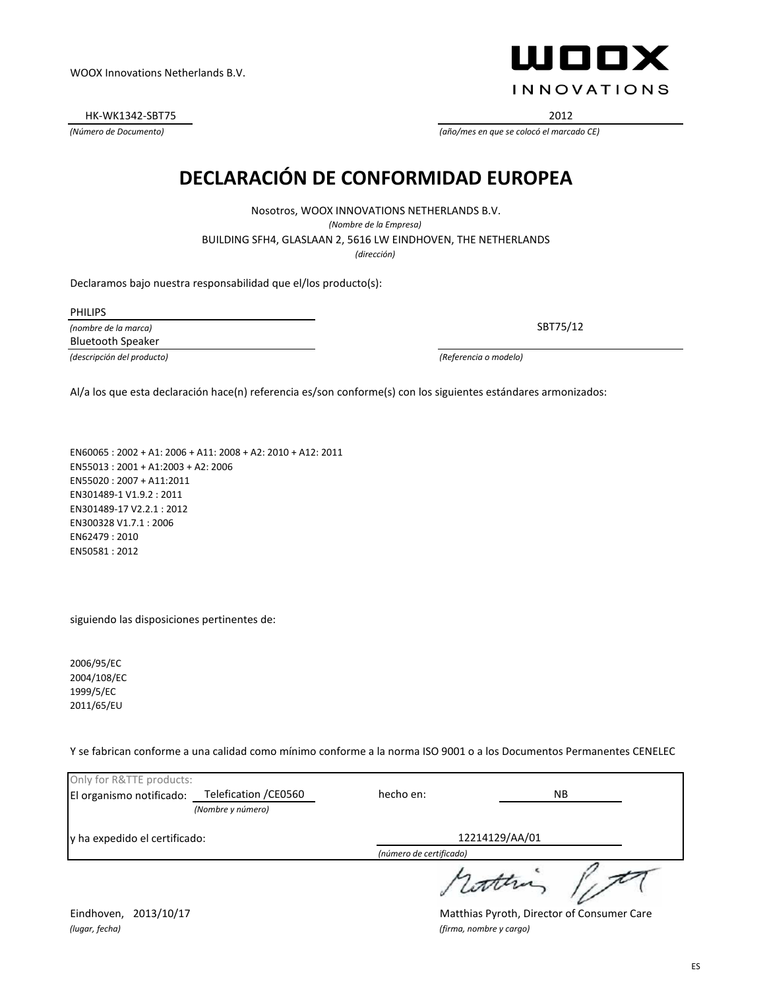*(lugar, fecha) (firma, nombre y cargo)*

Eindhoven, 2013/10/17 **Matthias Pyroth, Director of Consumer Care** 

ES

HK-WK1342-SBT75 2012

*(Número de Documento) (año/mes en que se colocó el marcado CE)*

### **DECLARACIÓ N DE CONFORMIDAD EUROPEA**

*(dirección)* BUILDING SFH4, GLASLAAN 2, 5616 LW EINDHOVEN, THE NETHERLANDS Nosotros, WOOX INNOVATIONS NETHERLANDS B.V. *(Nombre de la Empresa)*

Declaramos bajo nuestra responsabilidad que el/los producto(s):

PHILIPS

*(nombre de la marca)* Bluetooth Speaker

*(descripción del producto) (Referencia o modelo)*

Al/a los que esta declaración hace(n) referencia es/son conforme(s) con los siguientes estándares armonizados:

EN60065 : 2002 + A1: 2006 + A11: 2008 + A2: 2010 + A12: 2011 EN55013 : 2001 + A1:2003 + A2: 2006 EN55020 : 2007 + A11:2011 EN301489-1 V1.9.2 : 2011 EN301489-17 V2.2.1 : 2012 EN300328 V1.7.1 : 2006 EN62479 : 2010 EN50581 : 2012

siguiendo las disposiciones pertinentes de:

2006/95/EC 2004/108/EC 1999/5/EC 2011/65/EU

Y se fabrican conforme a una calidad como mínimo conforme a la norma ISO 9001 o a los Documentos Permanentes CENELEC

| Only for R&TTE products:<br>El organismo notificado: | Telefication / CE0560 | hecho en:               | NB. |  |
|------------------------------------------------------|-----------------------|-------------------------|-----|--|
|                                                      | (Nombre y número)     |                         |     |  |
| ly ha expedido el certificado:                       |                       | 12214129/AA/01          |     |  |
|                                                      |                       | (número de certificado) |     |  |
|                                                      |                       | cather                  |     |  |



SBT75/12

WOOX Innovations Netherlands B.V.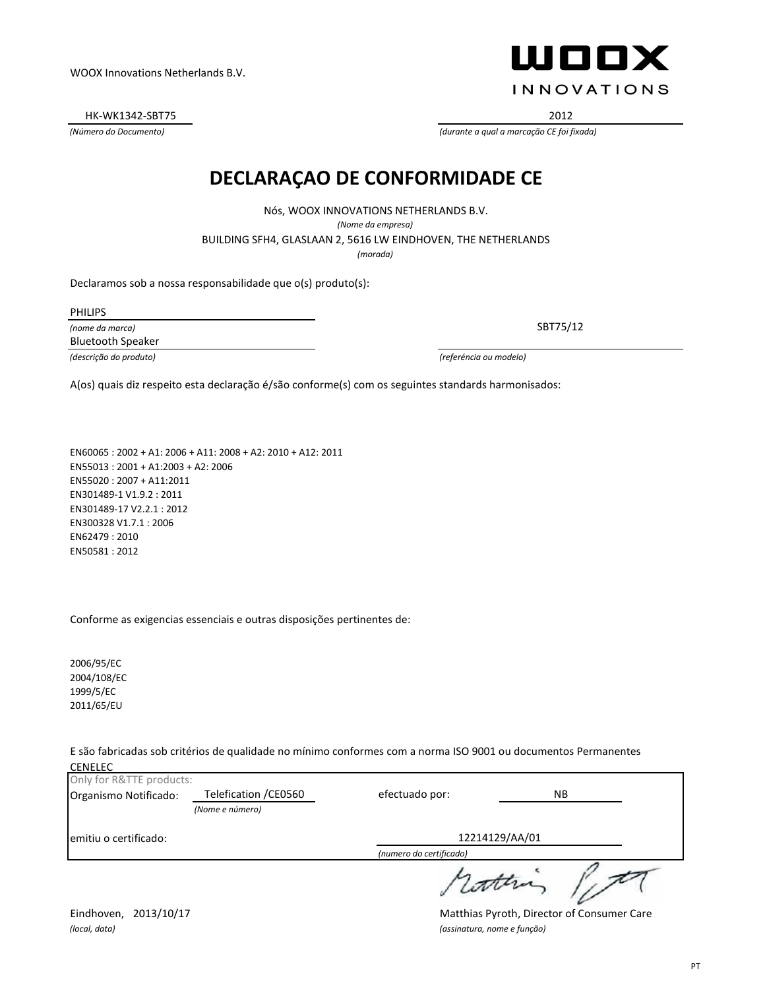PT

HK-WK1342-SBT75 2012

### **DECLARAÇAO DE CONFORMIDADE CE**

Nós, WOOX INNOVATIONS NETHERLANDS B.V. *(Nome da empresa)* BUILDING SFH4, GLASLAAN 2, 5616 LW EINDHOVEN, THE NETHERLANDS *(morada)*

Declaramos sob a nossa responsabilidade que o(s) produto(s):

PHILIPS

*(nome da marca)* Bluetooth Speaker

*(descrição do produto) (referéncia ou modelo)*

A(os) quais diz respeito esta declaração é/são conforme(s) com os seguintes standards harmonisados:

EN60065 : 2002 + A1: 2006 + A11: 2008 + A2: 2010 + A12: 2011 EN55013 : 2001 + A1:2003 + A2: 2006 EN55020 : 2007 + A11:2011 EN301489-1 V1.9.2 : 2011 EN301489-17 V2.2.1 : 2012 EN300328 V1.7.1 : 2006 EN62479 : 2010 EN50581 : 2012

Conforme as exigencias essenciais e outras disposições pertinentes de:

2006/95/EC 2004/108/EC 1999/5/EC 2011/65/EU

E são fabricadas sob critérios de qualidade no mínimo conformes com a norma ISO 9001 ou documentos Permanentes **CENELEC** 

| Only for R&TTE products: |                       |                         |           |
|--------------------------|-----------------------|-------------------------|-----------|
| Organismo Notificado:    | Telefication / CE0560 | efectuado por:          | <b>NB</b> |
|                          | (Nome e número)       |                         |           |
| emitiu o certificado:    |                       | 12214129/AA/01          |           |
|                          |                       | (numero do certificado) |           |
|                          |                       | wonne                   |           |

*(Número do Documento) (durante a qual a marcação CE foi fixada)*



Eindhoven, 2013/10/17 **Matthias Pyroth, Director of Consumer Care** *(local, data) (assinatura, nome e função)*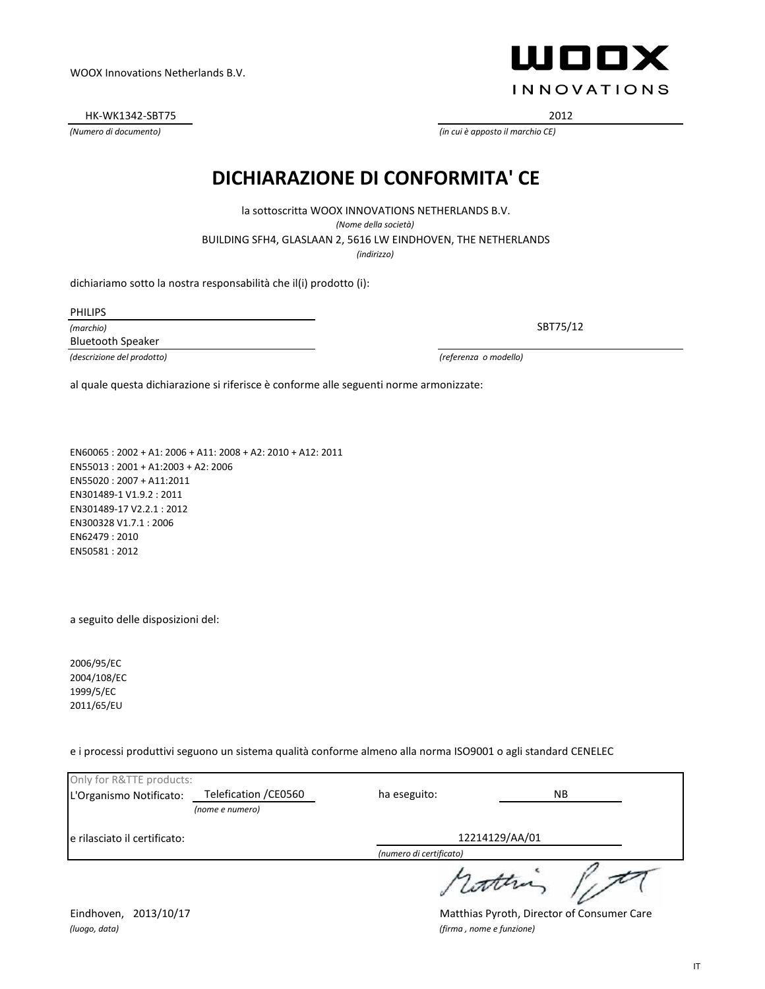Only for R&TTE products:

L'Organismo Notificato:

e rilasciato il certificato:

Eindhoven, 2013/10/17 **Matthias Pyroth, Director of Consumer Care** *(luogo, data) (firma , nome e funzione)*

NB

12214129/AA/01

attra

# al quale questa dichiarazione si riferisce è conforme alle seguenti norme armonizzate:

*(indirizzo)*

*(Nome della società)*

**DICHIARAZIONE DI CONFORMITA' CE**

EN60065 : 2002 + A1: 2006 + A11: 2008 + A2: 2010 + A12: 2011 EN55013 : 2001 + A1:2003 + A2: 2006 EN55020 : 2007 + A11:2011 EN301489-1 V1.9.2 : 2011 EN301489-17 V2.2.1 : 2012 EN300328 V1.7.1 : 2006 EN62479 : 2010 EN50581 : 2012

*(nome e numero)*

Telefication /CE0560

a seguito delle disposizioni del:

2006/95/EC 2004/108/EC 1999/5/EC 2011/65/EU

e i processi produttivi seguono un sistema qualità conforme almeno alla norma ISO9001 o agli standard CENELEC

ha eseguito:

*(numero di certificato)*

BUILDING SFH4, GLASLAAN 2, 5616 LW EINDHOVEN, THE NETHERLANDS la sottoscritta WOOX INNOVATIONS NETHERLANDS B.V.

dichiariamo sotto la nostra responsabilità che il(i) prodotto (i):

PHILIPS

*(marchio)* Bluetooth Speaker

*(descrizione del prodotto) (referenza o modello)*

*(Numero di documento) (in cui è apposto il marchio CE)*

WOOX Innovations Netherlands B.V.

HK-WK1342-SBT75 2012



SBT75/12

IT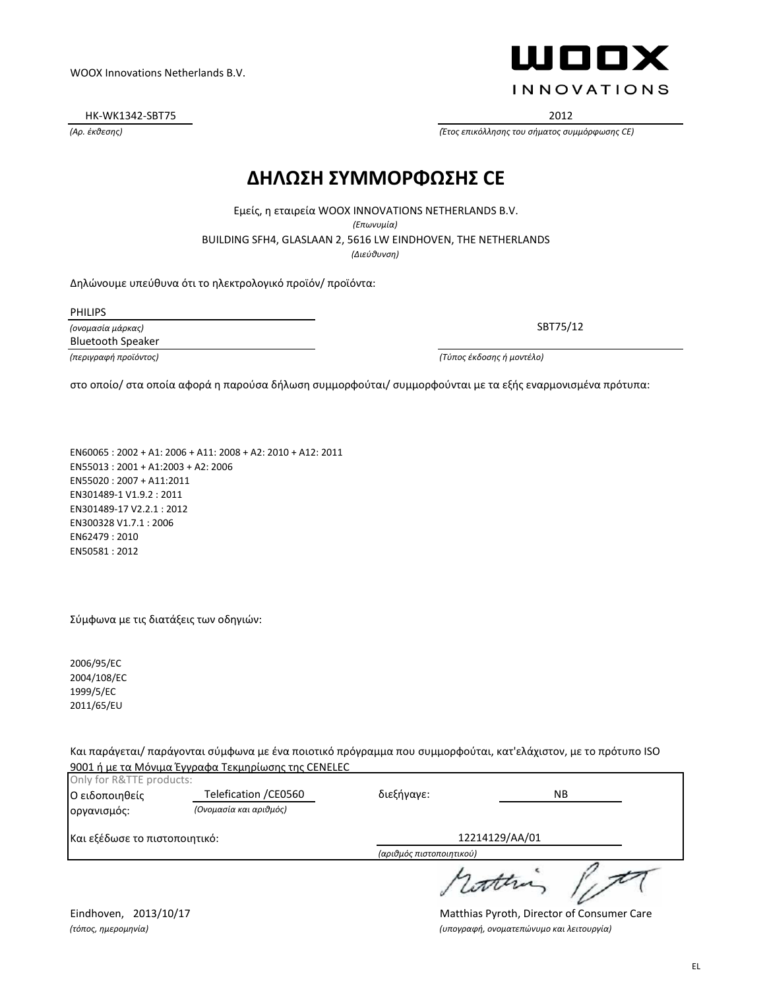Eindhoven, 2013/10/17 **Matthias Pyroth, Director of Consumer Care** *(τόπος, ημερομηνία) (υπογραφή, ονοματεπώνυμο και λειτουργία)*

#### WOOX Innovations Netherlands B.V.

HK-WK1342-SBT75 2012

### **ΔΗΛΩΣΗ ΣΥΜΜΟΡΦΩΣΗΣ CE**

*(Διεύθυνση)* BUILDING SFH4, GLASLAAN 2, 5616 LW EINDHOVEN, THE NETHERLANDS Εμείς, η εταιρεία WOOX INNOVATIONS NETHERLANDS B.V. *(Επωνυμία)*

Δηλώνουμε υπεύθυνα ότι το ηλεκτρολογικό προϊόν/ προϊόντα:

PHILIPS

*(ονομασία μάρκας) (περιγραφή προϊόντος) (Τύπος έκδοσης ή μοντέλο)* Bluetooth Speaker

στο οποίο/ στα οποία αφορά η παρούσα δήλωση συμμορφούται/ συμμορφούνται με τα εξής εναρμονισμένα πρότυπα:

EN60065 : 2002 + A1: 2006 + A11: 2008 + A2: 2010 + A12: 2011 EN55013 : 2001 + A1:2003 + A2: 2006 EN55020 : 2007 + A11:2011 EN301489-1 V1.9.2 : 2011 EN301489-17 V2.2.1 : 2012 EN300328 V1.7.1 : 2006 EN62479 : 2010 EN50581 : 2012

Σύμφωνα με τις διατάξεις των οδηγιών:

2006/95/EC 2004/108/EC 1999/5/EC 2011/65/EU

Και παράγεται/ παράγονται σύμφωνα με ένα ποιοτικό πρόγραμμα που συμμορφούται, κατ'ελάχιστον, με το πρότυπο ISO 9001 ή με τα Μόνιμα Έγγραφα Τεκμηρίωσης της CENELEC

| Only for R&TTE products:      |                        |                          |           |  |
|-------------------------------|------------------------|--------------------------|-----------|--|
| Ο ειδοποιηθείς                | Telefication / CE0560  | διεξήγαγε:               | <b>NB</b> |  |
| οργανισμός:                   | (Ονομασία και αριθμός) |                          |           |  |
| Και εξέδωσε το πιστοποιητικό: |                        | 12214129/AA/01           |           |  |
|                               |                        | (αριθμός πιστοποιητικού) |           |  |
|                               |                        |                          |           |  |



SBT75/12

*(Αρ. έκθεσης) (Έτος επικόλλησης του σήματος συμμόρφωσης CE)*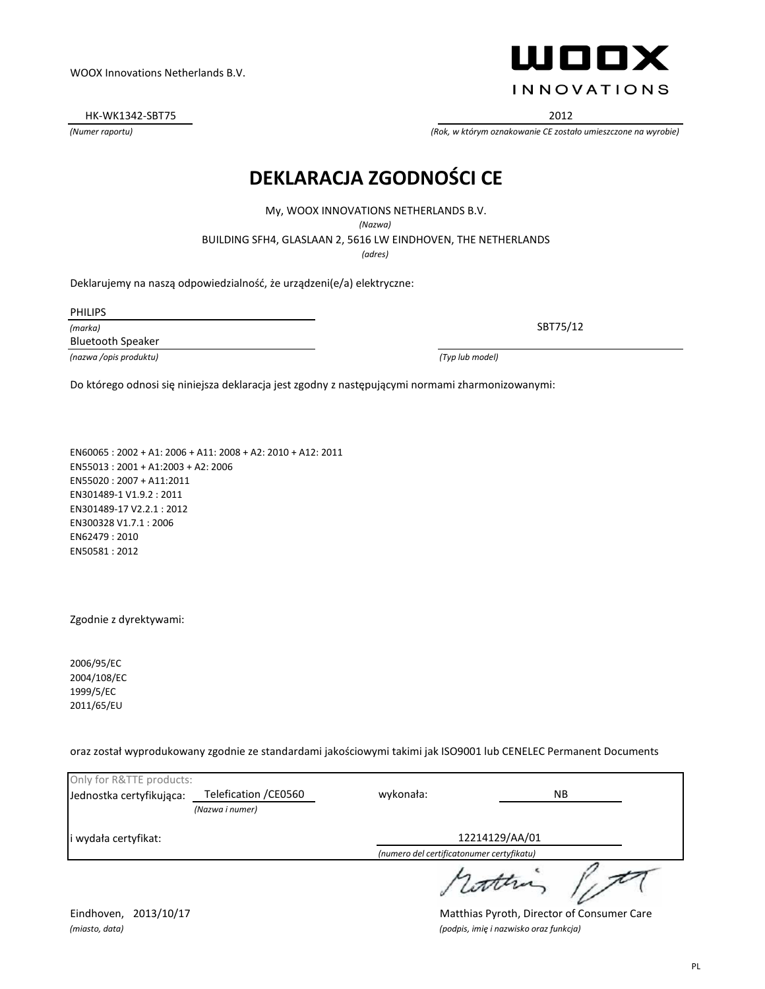HK-WK1342-SBT75 2012

#### **DEKLARACJA ZGODNOŚCI CE**

My, WOOX INNOVATIONS NETHERLANDS B.V.

*(Nazwa)*

BUILDING SFH4, GLASLAAN 2, 5616 LW EINDHOVEN, THE NETHERLANDS

*(adres)*

Deklarujemy na naszą odpowiedzialność, że urządzeni(e/a) elektryczne:

PHILIPS

*(marka)* Bluetooth Speaker

*(nazwa /opis produktu) (Typ lub model)*

Do którego odnosi się niniejsza deklaracja jest zgodny z następującymi normami zharmonizowanymi:

EN60065 : 2002 + A1: 2006 + A11: 2008 + A2: 2010 + A12: 2011 EN55013 : 2001 + A1:2003 + A2: 2006 EN55020 : 2007 + A11:2011 EN301489-1 V1.9.2 : 2011 EN301489-17 V2.2.1 : 2012 EN300328 V1.7.1 : 2006 EN62479 : 2010 EN50581 : 2012

Zgodnie z dyrektywami:

2006/95/EC 2004/108/EC 1999/5/EC 2011/65/EU

oraz został wyprodukowany zgodnie ze standardami jakościowymi takimi jak ISO9001 lub CENELEC Permanent Documents

| Only for R&TTE products: |                       |                                           |           |
|--------------------------|-----------------------|-------------------------------------------|-----------|
| Jednostka certyfikująca: | Telefication / CE0560 | wykonała:                                 | <b>NB</b> |
|                          | (Nazwa i numer)       |                                           |           |
| i wydała certyfikat:     |                       | 12214129/AA/01                            |           |
|                          |                       | (numero del certificatonumer certyfikatu) |           |
|                          |                       |                                           |           |

*(Numer raportu) (Rok, w którym oznakowanie CE zostało umieszczone na wyrobie)*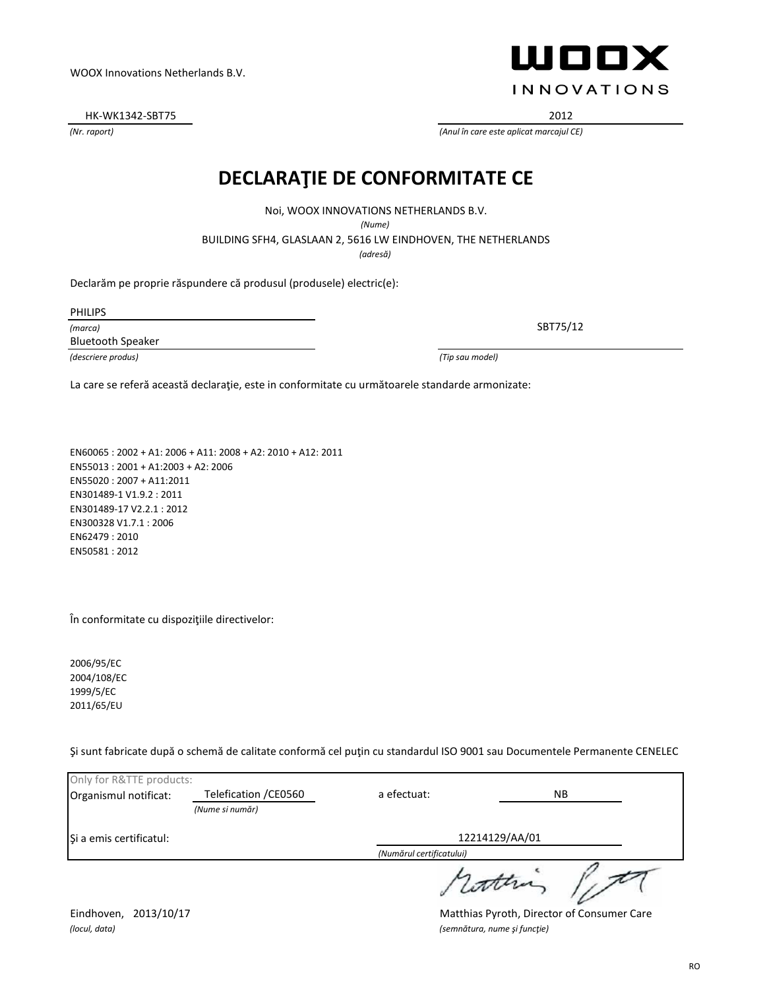HK-WK1342-SBT75 2012

#### **DECLARAŢIE DE CONFORMITATE CE**

Noi, WOOX INNOVATIONS NETHERLANDS B.V.

*(Nume)*

BUILDING SFH4, GLASLAAN 2, 5616 LW EINDHOVEN, THE NETHERLANDS

*(adresă)*

Declarăm pe proprie răspundere că produsul (produsele) electric(e):

PHILIPS

*(marca)* Bluetooth Speaker

*(descriere produs) (Tip sau model)*

La care se referă această declaraţie, este in conformitate cu următoarele standarde armonizate:

EN60065 : 2002 + A1: 2006 + A11: 2008 + A2: 2010 + A12: 2011 EN55013 : 2001 + A1:2003 + A2: 2006 EN55020 : 2007 + A11:2011 EN301489-1 V1.9.2 : 2011 EN301489-17 V2.2.1 : 2012 EN300328 V1.7.1 : 2006 EN62479 : 2010 EN50581 : 2012

În conformitate cu dispoziţiile directivelor:

2006/95/EC 2004/108/EC 1999/5/EC 2011/65/EU

Şi sunt fabricate după o schemă de calitate conformă cel puţin cu standardul ISO 9001 sau Documentele Permanente CENELEC

| Only for R&TTE products: |                       |                          |     |
|--------------------------|-----------------------|--------------------------|-----|
| Organismul notificat:    | Telefication / CE0560 | a efectuat:              | NB. |
|                          | (Nume si număr)       |                          |     |
| Si a emis certificatul:  |                       | 12214129/AA/01           |     |
|                          |                       | (Numărul certificatului) |     |
|                          |                       |                          |     |

Eindhoven, 2013/10/17 **Matthias Pyroth, Director of Consumer Care** *(locul, data) (semnătura, nume şi funcţie)*



SBT75/12

*(Nr. raport) (Anul în care este aplicat marcajul CE)*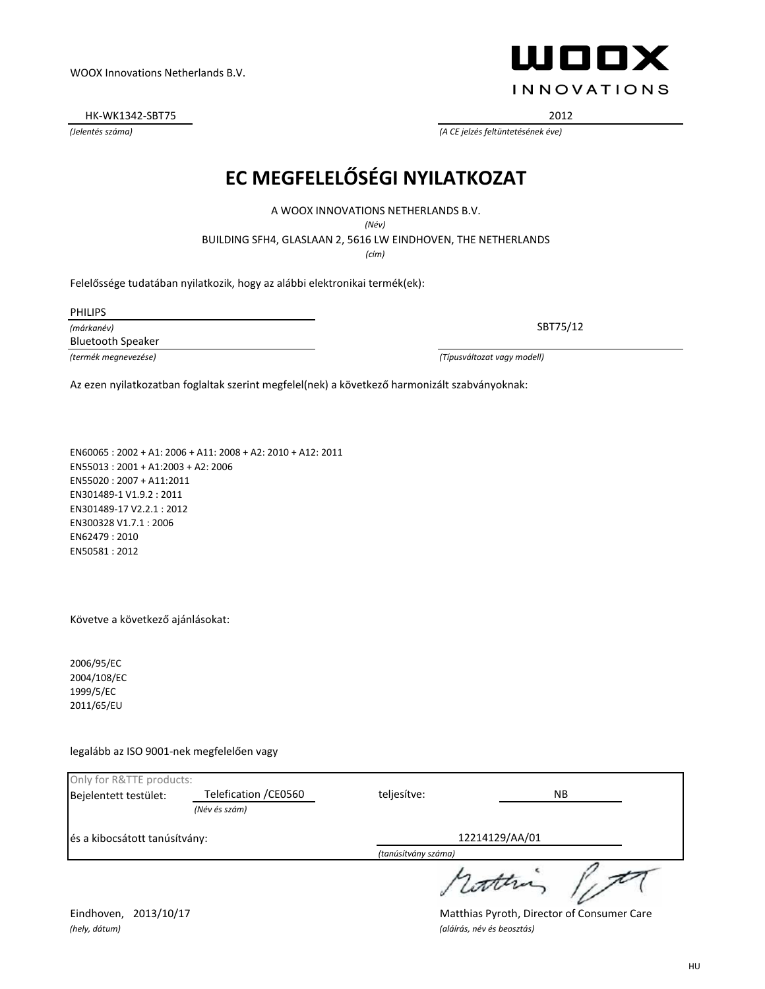*(Jelentés száma) (A CE jelzés feltüntetésének éve)*

WOOX Innovations Netherlands B.V.

### **EC MEGFELELŐSÉGI NYILATKOZAT**

A WOOX INNOVATIONS NETHERLANDS B.V.

*(Név)*

BUILDING SFH4, GLASLAAN 2, 5616 LW EINDHOVEN, THE NETHERLANDS

*(cím)*

Felelőssége tudatában nyilatkozik, hogy az alábbi elektronikai termék(ek):

PHILIPS

*(márkanév)* Bluetooth Speaker

*(termék megnevezése) (Típusváltozat vagy modell)*

Az ezen nyilatkozatban foglaltak szerint megfelel(nek) a következő harmonizált szabványoknak:

EN60065 : 2002 + A1: 2006 + A11: 2008 + A2: 2010 + A12: 2011 EN55013 : 2001 + A1:2003 + A2: 2006 EN55020 : 2007 + A11:2011 EN301489-1 V1.9.2 : 2011 EN301489-17 V2.2.1 : 2012 EN300328 V1.7.1 : 2006 EN62479 : 2010 EN50581 : 2012

Követve a következő ajánlásokat:

2006/95/EC 2004/108/EC 1999/5/EC 2011/65/EU

legalább az ISO 9001-nek megfelelően vagy

| Only for R&TTE products:      |                       |                     |       |  |
|-------------------------------|-----------------------|---------------------|-------|--|
| Bejelentett testület:         | Telefication / CE0560 | teljesítve:         | NB.   |  |
|                               | (Név és szám)         |                     |       |  |
| és a kibocsátott tanúsítvány: |                       | 12214129/AA/01      |       |  |
|                               |                       | (tanúsítvány száma) |       |  |
|                               |                       |                     | atten |  |

Eindhoven, 2013/10/17 **Matthias Pyroth, Director of Consumer Care** 

HU



HK-WK1342-SBT75 2012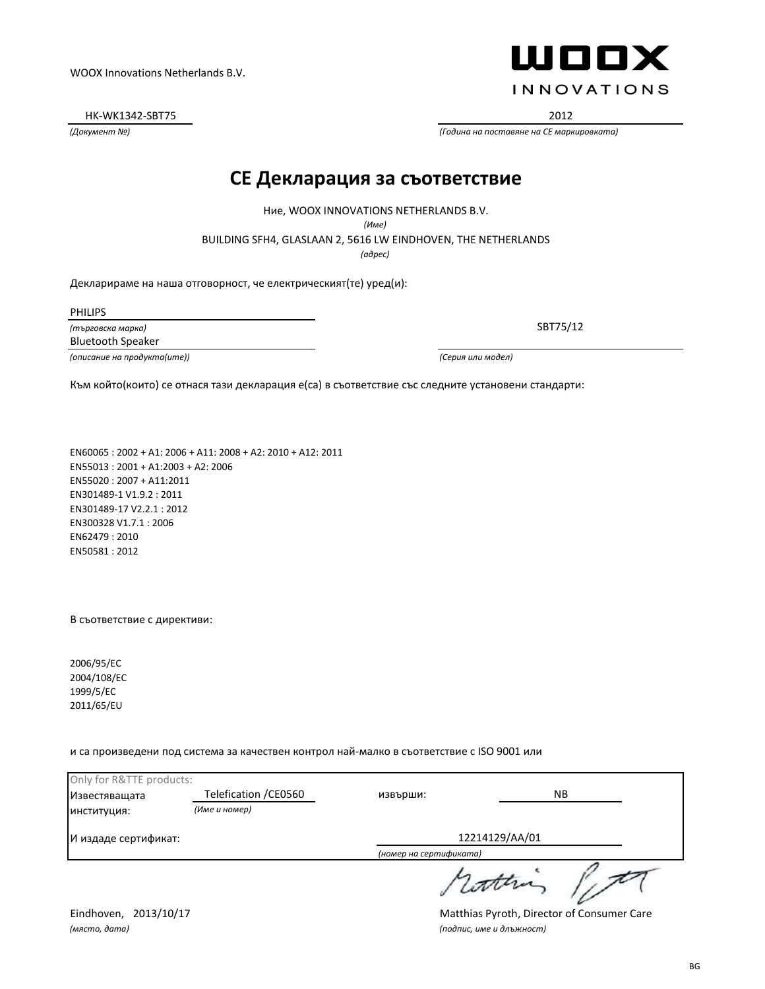*(място, дата) (подпис, име и длъжност)*

Eindhoven, 2013/10/17 **Matthias Pyroth, Director of Consumer Care** 

HK-WK1342-SBT75 2012

*(Документ №) (Година на поставяне на CE маркировката)*

**CE Декларация за съответствие**

Ние, WOOX INNOVATIONS NETHERLANDS B.V.

*(Име)*

BUILDING SFH4, GLASLAAN 2, 5616 LW EINDHOVEN, THE NETHERLANDS

*(адрес)*

Декларираме на наша отговорност, че електрическият(те) уред(и):

PHILIPS

*(търговска марка)* Bluetooth Speaker

*(описание на продукта(ите)) (Серия или модел)*

WOOX Innovations Netherlands B.V.

Към който(които) се отнася тази декларация е(са) в съответствие със следните установени стандарти:

EN60065 : 2002 + A1: 2006 + A11: 2008 + A2: 2010 + A12: 2011 EN55013 : 2001 + A1:2003 + A2: 2006 EN55020 : 2007 + A11:2011 EN301489-1 V1.9.2 : 2011 EN301489-17 V2.2.1 : 2012 EN300328 V1.7.1 : 2006 EN62479 : 2010 EN50581 : 2012

В съответствие с директиви:

2006/95/EC 2004/108/EC 1999/5/EC 2011/65/EU

и са произведени под система за качествен контрол най-малко в съответствие с ISO 9001 или

Only for R&TTE products: Известяващата Telefication /СЕ0560 извърши: NB извърши: *(Име и номер)* институция: И издаде сертификат: 12214129/AA/01 *(номер на сертификата)* attra

SBT75/12

**INNOVATIONS** 

WOOX

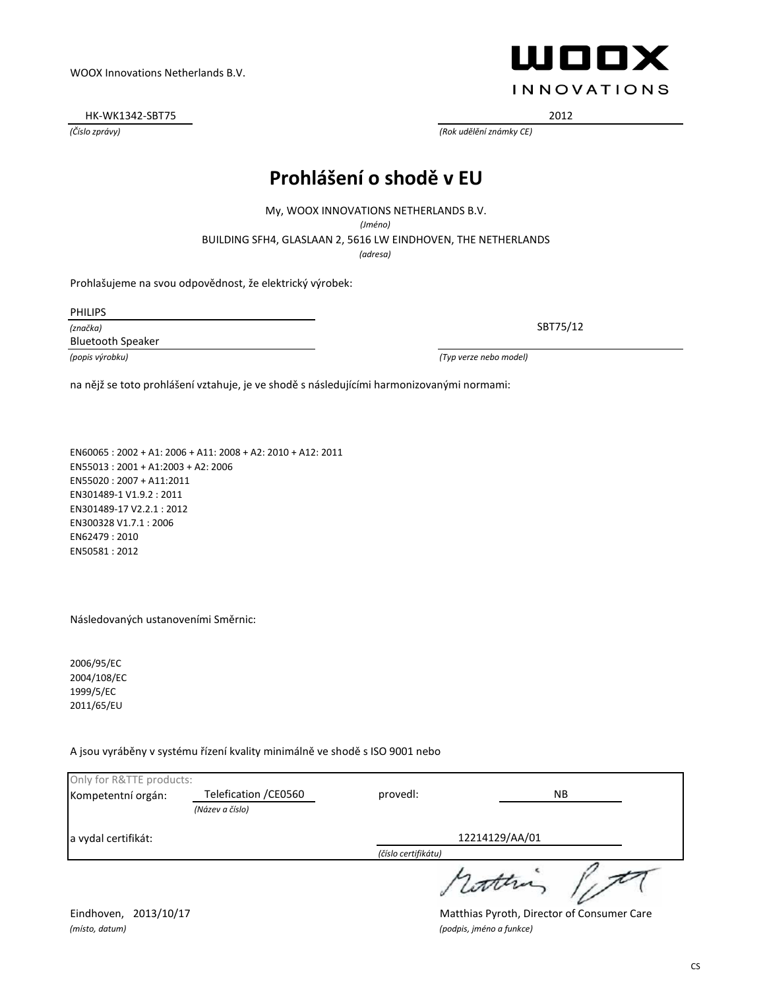a vydal certifikát:

*(místo, datum) (podpis, jméno a funkce)*

Only for R&TTE products:

Eindhoven, 2013/10/17 Matthias Pyroth, Director of Consumer Care

### **Prohlášení o shodě v EU**

BUILDING SFH4, GLASLAAN 2, 5616 LW EINDHOVEN, THE NETHERLANDS My, WOOX INNOVATIONS NETHERLANDS B.V. *(Jméno)*

*(adresa)*

Prohlašujeme na svou odpovědnost, že elektrický výrobek:

PHILIPS

*(značka)* Bluetooth Speaker

WOOX Innovations Netherlands B.V.

*(popis výrobku) (Typ verze nebo model)*

na nějž se toto prohlášení vztahuje, je ve shodě s následujícími harmonizovanými normami:

EN60065 : 2002 + A1: 2006 + A11: 2008 + A2: 2010 + A12: 2011 EN55013 : 2001 + A1:2003 + A2: 2006 EN55020 : 2007 + A11:2011 EN301489-1 V1.9.2 : 2011 EN301489-17 V2.2.1 : 2012 EN300328 V1.7.1 : 2006 EN62479 : 2010 EN50581 : 2012

#### Následovaných ustanoveními Směrnic:

2006/95/EC 2004/108/EC 1999/5/EC 2011/65/EU

A jsou vyráběny v systému řízení kvality minimálně ve shodě s ISO 9001 nebo

HK-WK1342-SBT75 2012

**INNOVATIONS** 

SBT75/12

*(Číslo zprávy) (Rok udělění známky CE)*

| Kompetentní orgán:  | Telefication / CE0560 | provedl:            | <b>NB</b>      |  |
|---------------------|-----------------------|---------------------|----------------|--|
|                     | (Název a číslo)       |                     |                |  |
| a vydal certifikát: |                       |                     | 12214129/AA/01 |  |
|                     |                       | (číslo certifikátu) |                |  |
|                     |                       |                     | with           |  |

#### CS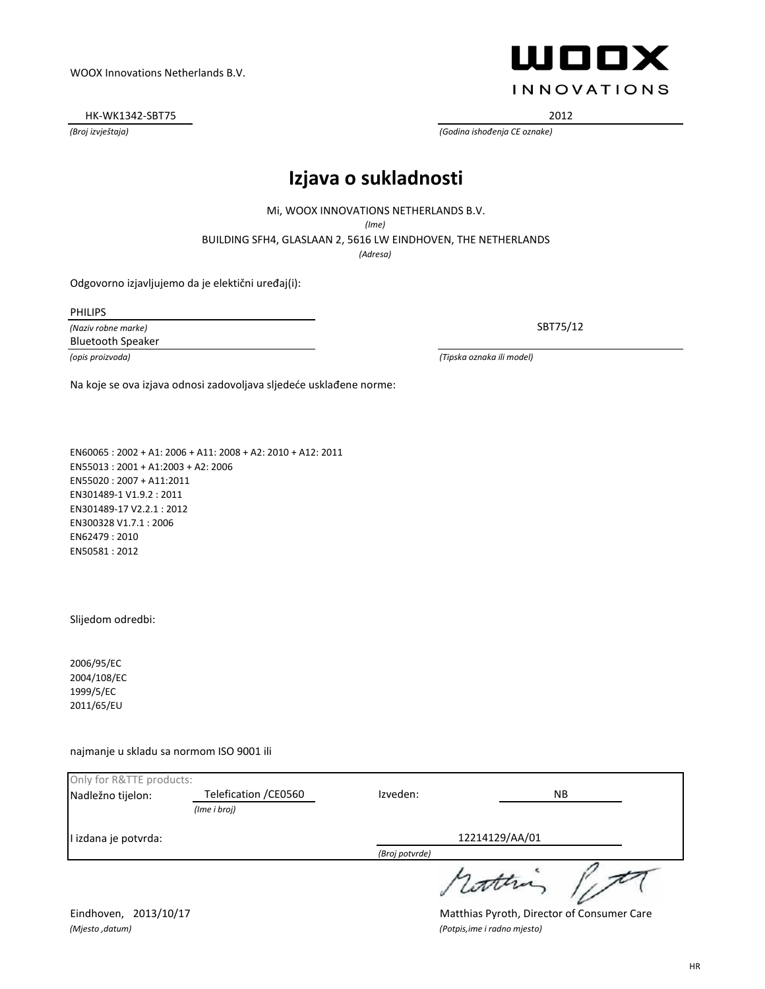HK-WK1342-SBT75 2012

## WOOX **INNOVATIONS**

*(Broj izvještaja) (Godina ishođenja CE oznake)*

#### **Izjava o sukladnosti**

Mi, WOOX INNOVATIONS NETHERLANDS B.V.

*(Ime)*

BUILDING SFH4, GLASLAAN 2, 5616 LW EINDHOVEN, THE NETHERLANDS

*(Adresa)*

Odgovorno izjavljujemo da je elektični uređaj(i):

PHILIPS

*(Naziv robne marke)* Bluetooth Speaker

SBT75/12

*(opis proizvoda) (Tipska oznaka ili model)*

Na koje se ova izjava odnosi zadovoljava sljedeće usklađene norme:

EN60065 : 2002 + A1: 2006 + A11: 2008 + A2: 2010 + A12: 2011 EN55013 : 2001 + A1:2003 + A2: 2006 EN55020 : 2007 + A11:2011 EN301489-1 V1.9.2 : 2011 EN301489-17 V2.2.1 : 2012 EN300328 V1.7.1 : 2006 EN62479 : 2010 EN50581 : 2012

Slijedom odredbi:

2006/95/EC 2004/108/EC 1999/5/EC 2011/65/EU

najmanje u skladu sa normom ISO 9001 ili

| Only for R&TTE products: |                       |                |           |  |
|--------------------------|-----------------------|----------------|-----------|--|
| Nadležno tijelon:        | Telefication / CE0560 | Izveden:       | <b>NB</b> |  |
|                          | (Ime i broj)          |                |           |  |
| I izdana je potvrda:     |                       | 12214129/AA/01 |           |  |
|                          |                       | (Broj potvrde) |           |  |
|                          |                       |                | 1 Lotten  |  |

*(Mjesto ,datum) (Potpis,ime i radno mjesto)*

Eindhoven, 2013/10/17 **Matthias Pyroth, Director of Consumer Care**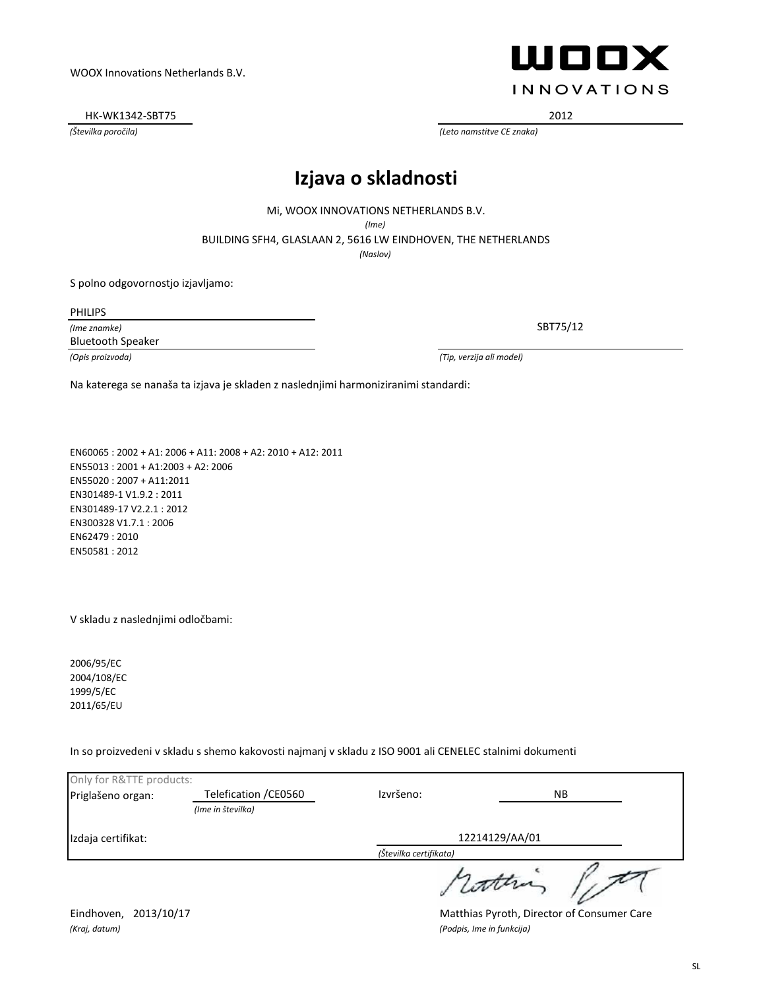Izdaja certifikat:

Eindhoven, 2013/10/17 Matthias Pyroth, Director of Consumer Care *(Kraj, datum) (Podpis, Ime in funkcija)*

SL

WOOX Innovations Netherlands B.V.

HK-WK1342-SBT75 2012

*(Številka poročila) (Leto namstitve CE znaka)*

### **Izjava o skladnosti**

Mi, WOOX INNOVATIONS NETHERLANDS B.V. *(Ime)*

BUILDING SFH4, GLASLAAN 2, 5616 LW EINDHOVEN, THE NETHERLANDS

*(Naslov)*

S polno odgovornostjo izjavljamo:

PHILIPS

*(Ime znamke)* Bluetooth Speaker

*(Opis proizvoda) (Tip, verzija ali model)*

Na katerega se nanaša ta izjava je skladen z naslednjimi harmoniziranimi standardi:

EN60065 : 2002 + A1: 2006 + A11: 2008 + A2: 2010 + A12: 2011 EN55013 : 2001 + A1:2003 + A2: 2006 EN55020 : 2007 + A11:2011 EN301489-1 V1.9.2 : 2011 EN301489-17 V2.2.1 : 2012 EN300328 V1.7.1 : 2006 EN62479 : 2010 EN50581 : 2012

V skladu z naslednjimi odločbami:

2006/95/EC 2004/108/EC 1999/5/EC 2011/65/EU

In so proizvedeni v skladu s shemo kakovosti najmanj v skladu z ISO 9001 ali CENELEC stalnimi dokumenti

| Only for R&TTE products: |                       |                        |           |  |
|--------------------------|-----------------------|------------------------|-----------|--|
| Priglašeno organ:        | Telefication / CE0560 | Izvršeno:              | <b>NB</b> |  |
|                          | (Ime in številka)     |                        |           |  |
| Izdaja certifikat:       |                       | 12214129/AA/01         |           |  |
|                          |                       | (Številka certifikata) |           |  |
|                          |                       |                        | cotten    |  |

WOOX **INNOVATIONS**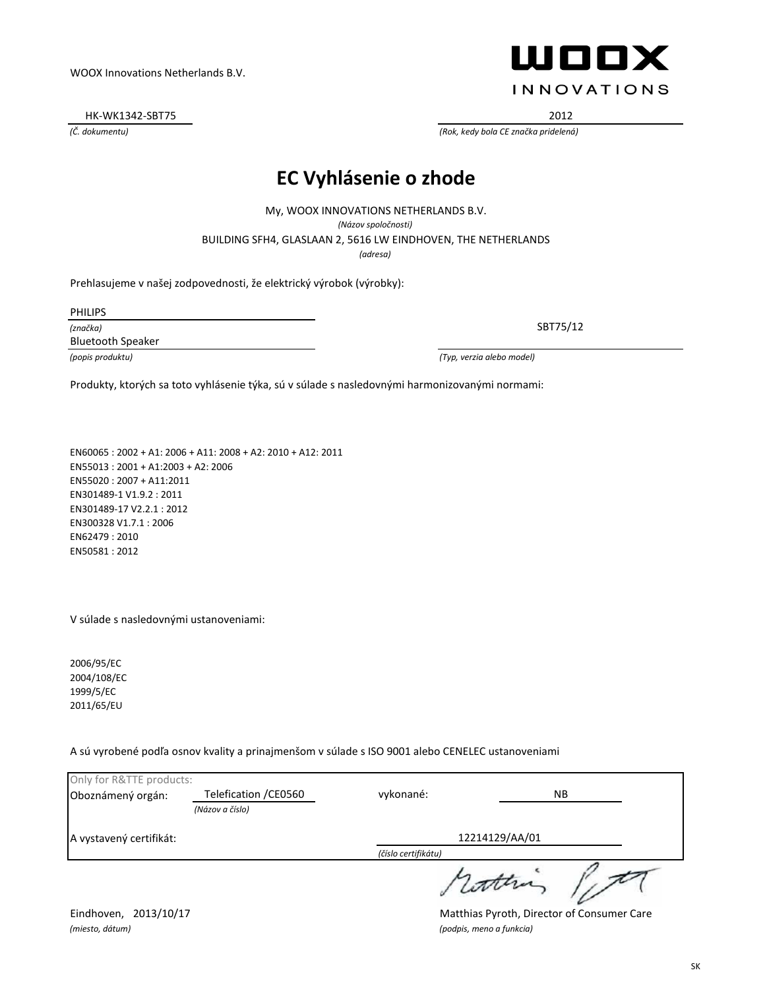HK-WK1342-SBT75 2012

#### **EC Vyhlásenie o zhode**

BUILDING SFH4, GLASLAAN 2, 5616 LW EINDHOVEN, THE NETHERLANDS My, WOOX INNOVATIONS NETHERLANDS B.V. *(Názov spoločnosti) (adresa)*

Prehlasujeme v našej zodpovednosti, že elektrický výrobok (výrobky):

PHILIPS

*(značka)* Bluetooth Speaker

*(popis produktu) (Typ, verzia alebo model)*

Produkty, ktorých sa toto vyhlásenie týka, sú v súlade s nasledovnými harmonizovanými normami:

EN60065 : 2002 + A1: 2006 + A11: 2008 + A2: 2010 + A12: 2011 EN55013 : 2001 + A1:2003 + A2: 2006 EN55020 : 2007 + A11:2011 EN301489-1 V1.9.2 : 2011 EN301489-17 V2.2.1 : 2012 EN300328 V1.7.1 : 2006 EN62479 : 2010 EN50581 : 2012

V súlade s nasledovnými ustanoveniami:

2006/95/EC 2004/108/EC 1999/5/EC 2011/65/EU

A sú vyrobené podľa osnov kvality a prinajmenšom v súlade s ISO 9001 alebo CENELEC ustanoveniami

| Only for R&TTE products: |                       |                     |       |
|--------------------------|-----------------------|---------------------|-------|
| Oboznámený orgán:        | Telefication / CE0560 | vykonané:           | NB.   |
|                          | (Názov a číslo)       |                     |       |
| A vystavený certifikát:  |                       | 12214129/AA/01      |       |
|                          |                       | (číslo certifikátu) |       |
|                          |                       |                     | 1 com |

*(miesto, dátum) (podpis, meno a funkcia)*

Eindhoven, 2013/10/17 **Matthias Pyroth, Director of Consumer Care** 



SBT75/12

*(Č. dokumentu) (Rok, kedy bola CE značka pridelená)*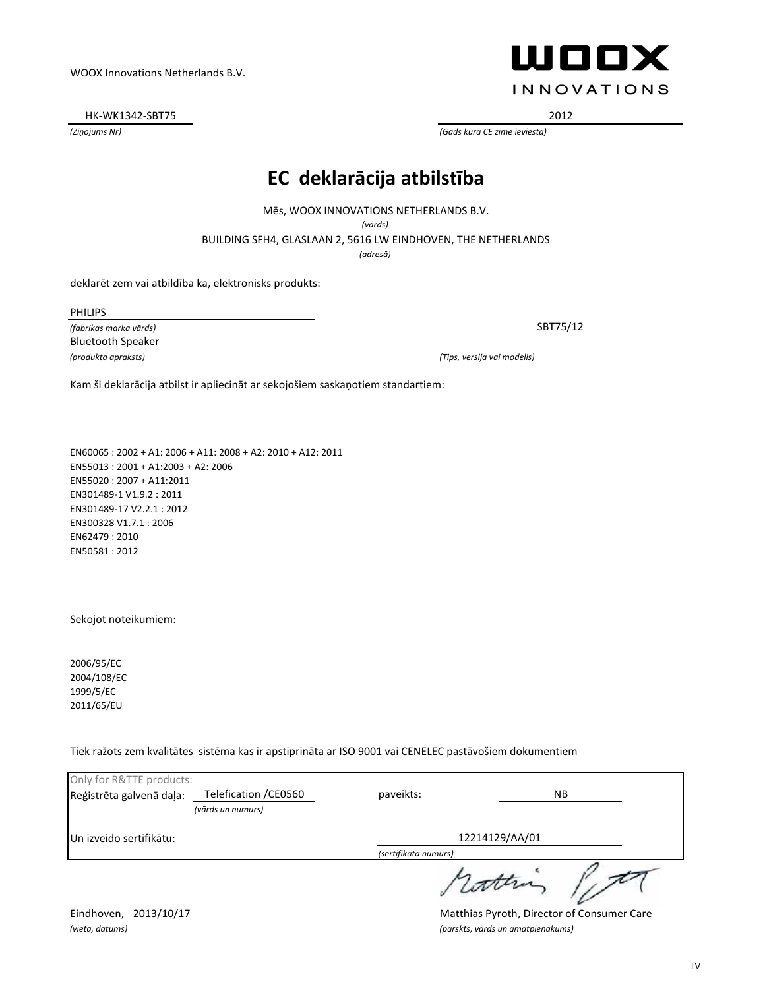HK-WK1342-SBT75 2012

*(Ziņojums Nr) (Gads kurā CE zīme ieviesta)*

#### **EC deklarācija atbilstība**

Mēs, WOOX INNOVATIONS NETHERLANDS B.V.

*(vārds)*

BUILDING SFH4, GLASLAAN 2, 5616 LW EINDHOVEN, THE NETHERLANDS

*(adresă)*

deklarēt zem vai atbildība ka, elektronisks produkts:

PHILIPS

*(fabrikas marka vārds)* Bluetooth Speaker

*(produkta apraksts) (Tips, versija vai modelis)*

Kam ši deklarācija atbilst ir apliecināt ar sekojošiem saskaņotiem standartiem:

EN60065 : 2002 + A1: 2006 + A11: 2008 + A2: 2010 + A12: 2011 EN55013 : 2001 + A1:2003 + A2: 2006 EN55020 : 2007 + A11:2011 EN301489-1 V1.9.2 : 2011 EN301489-17 V2.2.1 : 2012 EN300328 V1.7.1 : 2006 EN62479 : 2010 EN50581 : 2012

Sekojot noteikumiem:

2006/95/EC 2004/108/EC 1999/5/EC 2011/65/EU

Tiek ražots zem kvalitātes sistēma kas ir apstiprināta ar ISO 9001 vai CENELEC pastāvošiem dokumentiem

| Only for R&TTE products: |                       |                      |     |
|--------------------------|-----------------------|----------------------|-----|
| Reģistrēta galvenā daļa: | Telefication / CE0560 | paveikts:            | NB. |
|                          | (vārds un numurs)     |                      |     |
| Un izveido sertifikātu:  |                       | 12214129/AA/01       |     |
|                          |                       | (sertifikāta numurs) |     |
|                          |                       |                      |     |

Eindhoven, 2013/10/17 **Matthias Pyroth, Director of Consumer Care** *(vieta, datums) (parskts, vārds un amatpienākums)*



WOOX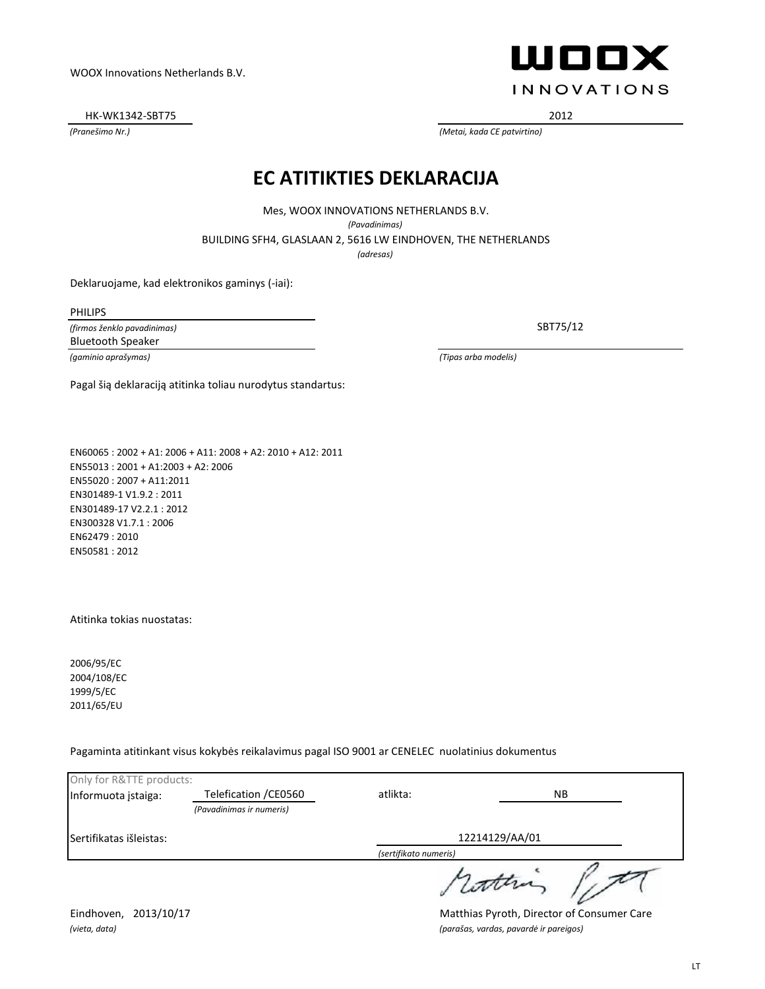HK-WK1342-SBT75 2012

WOOX **INNOVATIONS** 

*(Pranešimo Nr.) (Metai, kada CE patvirtino)*

#### **EC ATITIKTIES DEKLARACIJA**

BUILDING SFH4, GLASLAAN 2, 5616 LW EINDHOVEN, THE NETHERLANDS Mes, WOOX INNOVATIONS NETHERLANDS B.V. *(Pavadinimas)*

*(adresas)*

Deklaruojame, kad elektronikos gaminys (-iai):

PHILIPS

*(firmos ženklo pavadinimas)* Bluetooth Speaker

SBT75/12

*(gaminio aprašymas) (Tipas arba modelis)*

Pagal šią deklaraciją atitinka toliau nurodytus standartus:

EN60065 : 2002 + A1: 2006 + A11: 2008 + A2: 2010 + A12: 2011 EN55013 : 2001 + A1:2003 + A2: 2006 EN55020 : 2007 + A11:2011 EN301489-1 V1.9.2 : 2011 EN301489-17 V2.2.1 : 2012 EN300328 V1.7.1 : 2006 EN62479 : 2010 EN50581 : 2012

Atitinka tokias nuostatas:

2006/95/EC 2004/108/EC 1999/5/EC 2011/65/EU

Pagaminta atitinkant visus kokybės reikalavimus pagal ISO 9001 ar CENELEC nuolatinius dokumentus

| Only for R&TTE products: |                          |                       |     |
|--------------------------|--------------------------|-----------------------|-----|
| Informuota įstaiga:      | Telefication / CE0560    | atlikta:              | NB. |
|                          | (Pavadinimas ir numeris) |                       |     |
| Sertifikatas išleistas:  |                          | 12214129/AA/01        |     |
|                          |                          | (sertifikato numeris) |     |
|                          |                          |                       |     |

Eindhoven, 2013/10/17 Matthias Pyroth, Director of Consumer Care *(vieta, data) (parašas, vardas, pavardė ir pareigos)*